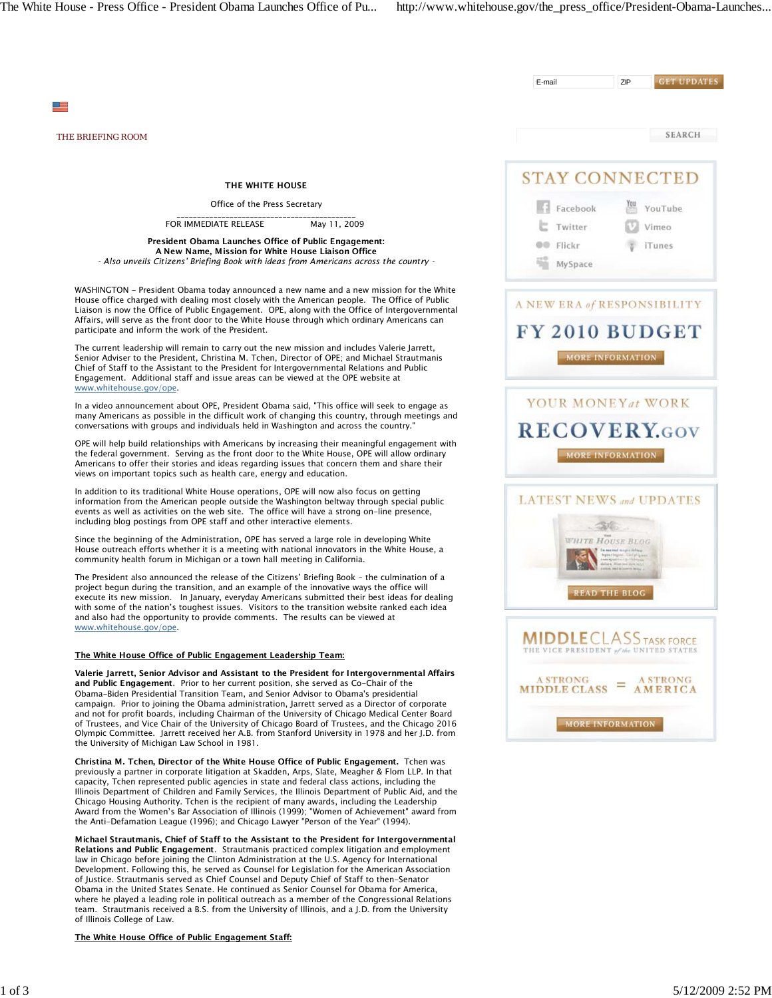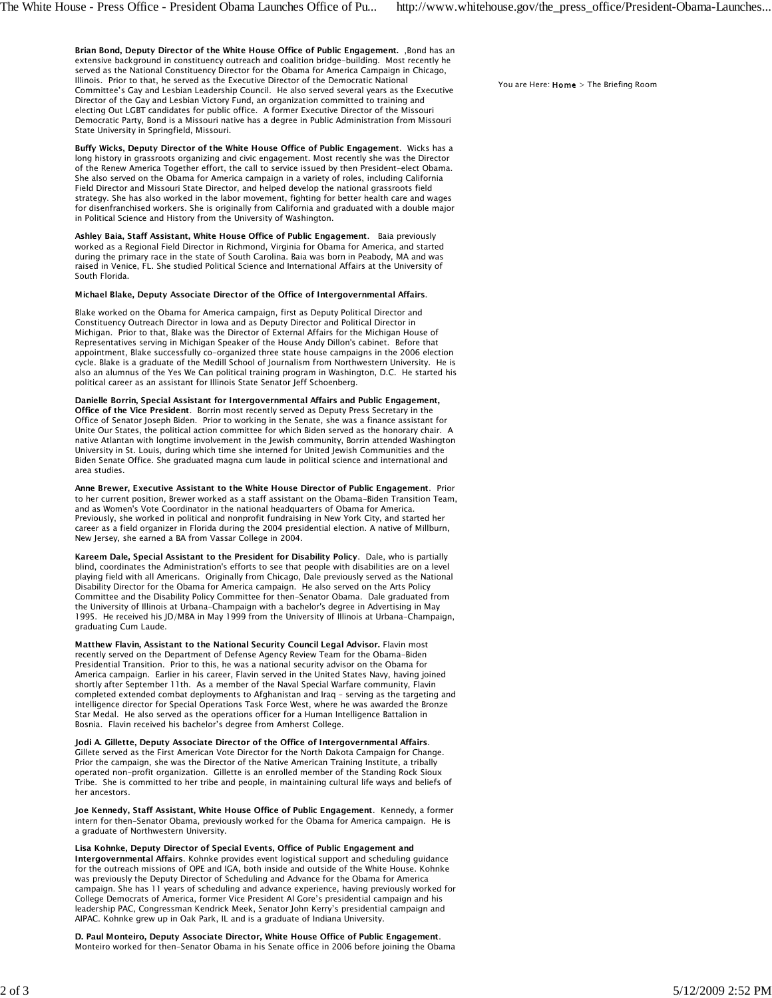Brian Bond, Deputy Director of the White House Office of Public Engagement. , Bond has an extensive background in constituency outreach and coalition bridge-building. Most recently he served as the National Constituency Director for the Obama for America Campaign in Chicago, Illinois. Prior to that, he served as the Executive Director of the Democratic National Committee's Gay and Lesbian Leadership Council. He also served several years as the Executive Director of the Gay and Lesbian Victory Fund, an organization committed to training and electing Out LGBT candidates for public office. A former Executive Director of the Missouri Democratic Party, Bond is a Missouri native has a degree in Public Administration from Missouri State University in Springfield, Missouri.

Buffy Wicks, Deputy Director of the White House Office of Public Engagement. Wicks has a long history in grassroots organizing and civic engagement. Most recently she was the Director of the Renew America Together effort, the call to service issued by then President-elect Obama. She also served on the Obama for America campaign in a variety of roles, including California Field Director and Missouri State Director, and helped develop the national grassroots field strategy. She has also worked in the labor movement, fighting for better health care and wages for disenfranchised workers. She is originally from California and graduated with a double major in Political Science and History from the University of Washington.

Ashley Baia, Staff Assistant, White House Office of Public Engagement. Baia previously worked as a Regional Field Director in Richmond, Virginia for Obama for America, and started during the primary race in the state of South Carolina. Baia was born in Peabody, MA and was raised in Venice, FL. She studied Political Science and International Affairs at the University of South Florida.

## Michael Blake, Deputy Associate Director of the Office of Intergovernmental Affairs.

Blake worked on the Obama for America campaign, first as Deputy Political Director and Constituency Outreach Director in Iowa and as Deputy Director and Political Director in Michigan. Prior to that, Blake was the Director of External Affairs for the Michigan House of Representatives serving in Michigan Speaker of the House Andy Dillon's cabinet. Before that appointment, Blake successfully co-organized three state house campaigns in the 2006 election cycle. Blake is a graduate of the Medill School of Journalism from Northwestern University. He is also an alumnus of the Yes We Can political training program in Washington, D.C. He started his political career as an assistant for Illinois State Senator Jeff Schoenberg.

Danielle Borrin, Special Assistant for Intergovernmental Affairs and Public Engagement, Office of the Vice President. Borrin most recently served as Deputy Press Secretary in the Office of Senator Joseph Biden. Prior to working in the Senate, she was a finance assistant for Unite Our States, the political action committee for which Biden served as the honorary chair. A native Atlantan with longtime involvement in the Jewish community, Borrin attended Washington University in St. Louis, during which time she interned for United Jewish Communities and the Biden Senate Office. She graduated magna cum laude in political science and international and area studies.

Anne Brewer, Executive Assistant to the White House Director of Public Engagement. Prior to her current position, Brewer worked as a staff assistant on the Obama-Biden Transition Team, and as Women's Vote Coordinator in the national headquarters of Obama for America. Previously, she worked in political and nonprofit fundraising in New York City, and started her career as a field organizer in Florida during the 2004 presidential election. A native of Millburn, New Jersey, she earned a BA from Vassar College in 2004.

Kareem Dale, Special Assistant to the President for Disability Policy. Dale, who is partially blind, coordinates the Administration's efforts to see that people with disabilities are on a level playing field with all Americans. Originally from Chicago, Dale previously served as the National Disability Director for the Obama for America campaign. He also served on the Arts Policy Committee and the Disability Policy Committee for then-Senator Obama. Dale graduated from the University of Illinois at Urbana-Champaign with a bachelor's degree in Advertising in May 1995. He received his JD/MBA in May 1999 from the University of Illinois at Urbana-Champaign, graduating Cum Laude.

Matthew Flavin, Assistant to the National Security Council Legal Advisor. Flavin most recently served on the Department of Defense Agency Review Team for the Obama-Biden Presidential Transition. Prior to this, he was a national security advisor on the Obama for America campaign. Earlier in his career, Flavin served in the United States Navy, having joined shortly after September 11th. As a member of the Naval Special Warfare community, Flavin completed extended combat deployments to Afghanistan and Iraq – serving as the targeting and intelligence director for Special Operations Task Force West, where he was awarded the Bronze Star Medal. He also served as the operations officer for a Human Intelligence Battalion in Bosnia. Flavin received his bachelor's degree from Amherst College.

Jodi A. Gillette, Deputy Associate Director of the Office of Intergovernmental Affairs. Gillete served as the First American Vote Director for the North Dakota Campaign for Change. Prior the campaign, she was the Director of the Native American Training Institute, a tribally operated non-profit organization. Gillette is an enrolled member of the Standing Rock Sioux Tribe. She is committed to her tribe and people, in maintaining cultural life ways and beliefs of her ancestors.

Joe Kennedy, Staff Assistant, White House Office of Public Engagement. Kennedy, a former intern for then-Senator Obama, previously worked for the Obama for America campaign. He is a graduate of Northwestern University.

Lisa Kohnke, Deputy Director of Special Events, Office of Public Engagement and Intergovernmental Affairs. Kohnke provides event logistical support and scheduling guidance for the outreach missions of OPE and IGA, both inside and outside of the White House. Kohnke was previously the Deputy Director of Scheduling and Advance for the Obama for America campaign. She has 11 years of scheduling and advance experience, having previously worked for College Democrats of America, former Vice President Al Gore's presidential campaign and his leadership PAC, Congressman Kendrick Meek, Senator John Kerry's presidential campaign and AIPAC. Kohnke grew up in Oak Park, IL and is a graduate of Indiana University.

D. Paul Monteiro, Deputy Associate Director, White House Office of Public Engagement. Monteiro worked for then-Senator Obama in his Senate office in 2006 before joining the Obama You are Here:  $Home > The Briefing Room$